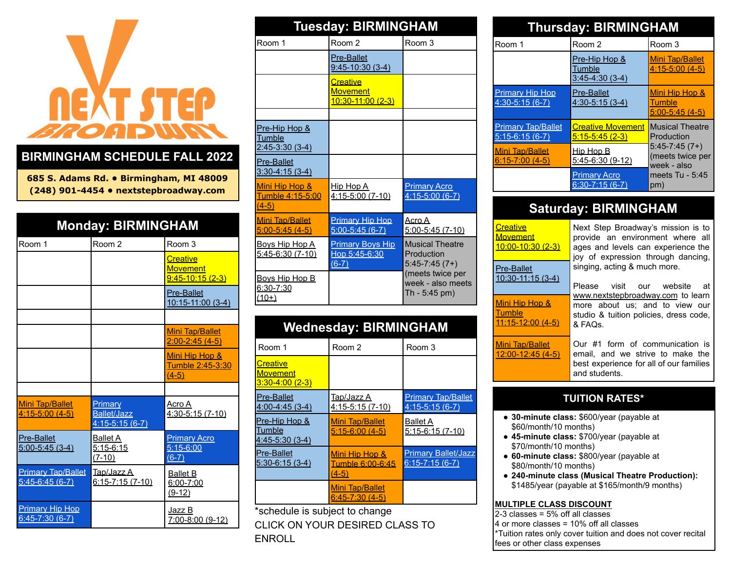# EXT STEP

### **BIRMINGHAM SCHEDULE FALL 2022**

**685 S. Adams Rd. • Birmingham, MI 48009 (248) 901-4454 • nextstepbroadway.com**

| <b>Monday: BIRMINGHAM</b>                      |                                                   |                                                           |
|------------------------------------------------|---------------------------------------------------|-----------------------------------------------------------|
| Room 1                                         | Room <sub>2</sub>                                 | Room 3                                                    |
|                                                |                                                   | <b>Creative</b><br><b>Movement</b><br>$9:45 - 10:15(2-3)$ |
|                                                |                                                   | <b>Pre-Ballet</b><br>10:15-11:00 (3-4)                    |
|                                                |                                                   |                                                           |
|                                                |                                                   | <b>Mini Tap/Ballet</b><br>$2:00 - 2:45(4-5)$              |
|                                                |                                                   | Mini Hip Hop &<br>Tumble 2:45-3:30<br>$(4-5)$             |
|                                                |                                                   |                                                           |
| <b>Mini Tap/Ballet</b><br>$4:15 - 5:00(4 - 5)$ | Primary<br><b>Ballet/Jazz</b><br>$4:15-5:15(6-7)$ | Acro A<br>4:30-5:15 (7-10)                                |
| <b>Pre-Ballet</b><br>$5:00 - 5:45(3 - 4)$      | <b>Ballet A</b><br>$5:15-6:15$<br>$(7-10)$        | <b>Primary Acro</b><br>$5:15-6:00$<br>$(6-7)$             |
| <b>Primary Tap/Ballet</b><br>$5:45-6:45(6-7)$  | Tap/Jazz A<br>$6:15 - 7:15(7 - 10)$               | <b>Ballet B</b><br>6:00-7:00<br>$(9-12)$                  |
| <b>Primary Hip Hop</b><br>$6:45-7:30(6-7)$     |                                                   | Jazz B<br>7:00-8:00 (9-12)                                |

| <b>Tuesday: BIRMINGHAM</b>                                          |                                                     |                                                         |
|---------------------------------------------------------------------|-----------------------------------------------------|---------------------------------------------------------|
| Room 1                                                              | Room <sub>2</sub>                                   | Room 3                                                  |
|                                                                     | <b>Pre-Ballet</b><br>$9:45 - 10:30(3-4)$            |                                                         |
|                                                                     | Creative<br><b>Movement</b><br>10:30-11:00 (2-3)    |                                                         |
|                                                                     |                                                     |                                                         |
| <u>Pre-Hip Hop &amp;</u><br><b>Tumble</b><br><u>2:45-3:30 (3-4)</u> |                                                     |                                                         |
| <b>Pre-Ballet</b><br>$3:30 - 4:15(3 - 4)$                           |                                                     |                                                         |
| Mini Hip Hop &<br>Tumble 4:15-5:00<br>$(4-5)$                       | <u>Hip Hop A</u><br>4:15-5:00 (7-10)                | <b>Primary Acro</b><br>$4:15 - 5:00(6 - 7)$             |
| <b>Mini Tap/Ballet</b><br>$5:00-5:45(4-5)$                          | <b>Primary Hip Hop</b><br>$5:00-5:45(6-7)$          | Acro A<br>$5:00 - 5:45(7 - 10)$                         |
| <u>Boys Hip Hop A</u><br>5:45-6:30 (7-10)                           | <b>Primary Boys Hip</b><br>Hop 5:45-6:30<br>$(6-7)$ | <b>Musical Theatre</b><br>Production<br>$5:45-7:45(7+)$ |
| <u>Bovs Hip Hop B</u><br><u>6:30-7:30</u><br>$(10+)$                |                                                     | (meets twice per<br>week - also meets<br>Th - 5:45 pm)  |

### **Wednesday: BIRMINGHAM**

| Room 1                                            | Room 2                                               | Room 3                                             |
|---------------------------------------------------|------------------------------------------------------|----------------------------------------------------|
| Creative<br><b>Movement</b><br>$3:30 - 4:00(2-3)$ |                                                      |                                                    |
| <b>Pre-Ballet</b><br>$4:00 - 4:45(3 - 4)$         | Tap/Jazz A<br><u>4:15-5:15 (7-10)</u>                | <b>Primary Tap/Ballet</b><br>$4:15-5:15(6-7)$      |
| Pre-Hip Hop &<br>Tumble<br>$4:45-5:30(3-4)$       | <b>Mini Tap/Ballet</b><br>$5:15-6:00(4-5)$           | <b>Ballet A</b><br>$5:15-6:15(7-10)$               |
| <b>Pre-Ballet</b><br>$5:30-6:15(3-4)$             | Mini Hip Hop &<br><u>Tumble 6:00-6:45</u><br>$(4-5)$ | <b>Primary Ballet/Jazz</b><br>$6:15 - 7:15(6 - 7)$ |
|                                                   | Mini Tap/Ballet<br>$6:45-7:30(4-5)$                  |                                                    |
| *schedule is subject to change                    |                                                      |                                                    |

CLICK ON YOUR DESIRED CLASS TO ENROLL

| <b>Thursday: BIRMINGHAM</b>                  |                                                    |                                                                              |  |
|----------------------------------------------|----------------------------------------------------|------------------------------------------------------------------------------|--|
| Room 1                                       | Room 2                                             | Room 3                                                                       |  |
|                                              | Pre-Hip Hop &<br>Tumble<br>$3:45 - 4:30(3 - 4)$    | <b>Mini Tap/Ballet</b><br>$4:15-5:00(4-5)$                                   |  |
| <b>Primary Hip Hop</b><br>4:30-5:15 (6-7)    | <b>Pre-Ballet</b><br>4:30-5:15 (3-4)               | Mini Hip Hop &<br>Tumble<br>$5:00 - 5:45(4 - 5)$                             |  |
| <b>Primary Tap/Ballet</b><br>5:15-6:15 (6-7) | <b>Creative Movement</b><br><u>5:15-5:45 (2-3)</u> | <b>Musical Theatre</b><br>Production                                         |  |
| <u>Mini Tap/Ballet</u><br>$6:15 - 7:00(4-5)$ | Hip Hop B<br>5:45-6:30 (9-12)                      | $5:45-7:45(7+)$<br>(meets twice per<br>week - also<br>meets Tu - 5:45<br>pm) |  |
|                                              | <b>Primary Acro</b><br>$6:30 - 7:15(6 - 7)$        |                                                                              |  |

### **Saturday: BIRMINGHAM**

| Creative<br><u>Movement</u><br>$10:00 - 10:30(2-3)$      | Next Step Broadway's mission is to<br>provide an environment where all<br>ages and levels can experience the<br>joy of expression through dancing,<br>singing, acting & much more.<br>Please visit our website<br>at<br>www.nextstepbroadway.com to learn<br>more about us; and to view our<br>studio & tuition policies, dress code,<br>& FAQ <sub>S</sub> . |
|----------------------------------------------------------|---------------------------------------------------------------------------------------------------------------------------------------------------------------------------------------------------------------------------------------------------------------------------------------------------------------------------------------------------------------|
| Pre-Ballet<br>10:30-11:15 (3-4)                          |                                                                                                                                                                                                                                                                                                                                                               |
| <u>Mini Hip Hop &amp;</u><br>Tumble<br>11:15-12:00 (4-5) |                                                                                                                                                                                                                                                                                                                                                               |
| Mini Tap/Ballet<br>$12:00 - 12:45(4-5)$                  | Our #1 form of communication is<br>email, and we strive to make the<br>best experience for all of our families<br>and students.                                                                                                                                                                                                                               |

### **TUITION RATES\***

- **30-minute class:** \$600/year (payable at \$60/month/10 months)
- **45-minute class:** \$700/year (payable at \$70/month/10 months)
- **60-minute class:** \$800/year (payable at \$80/month/10 months)
- **240-minute class (Musical Theatre Production):** \$1485/year (payable at \$165/month/9 months)

#### **MULTIPLE CLASS DISCOUNT**

2-3 classes = 5% off all classes 4 or more classes = 10% off all classes \*Tuition rates only cover tuition and does not cover recital fees or other class expenses